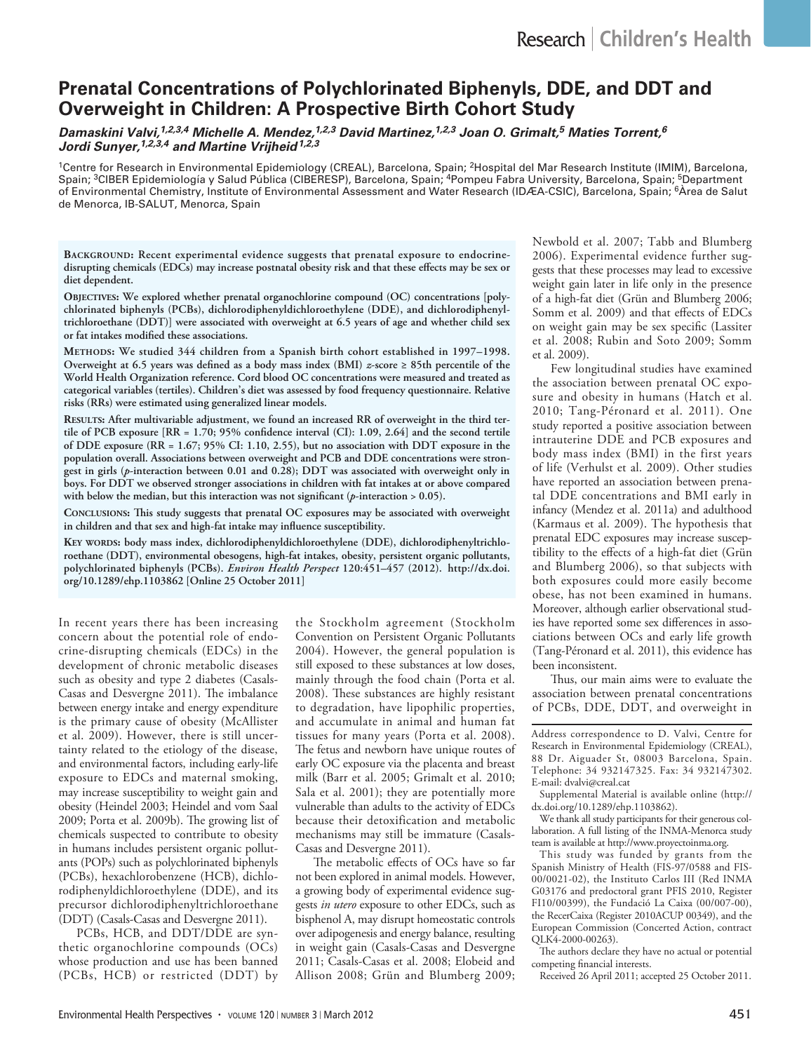# **Prenatal Concentrations of Polychlorinated Biphenyls, DDE, and DDT and Overweight in Children: A Prospective Birth Cohort Study**

*Damaskini Valvi,1,2,3,4 Michelle A. Mendez,1,2,3 David Martinez,1,2,3 Joan O. Grimalt,5 Maties Torrent,6 Jordi Sunyer,1,2,3,4 and Martine Vrijheid1,2,3*

<sup>1</sup>Centre for Research in Environmental Epidemiology (CREAL), Barcelona, Spain; <sup>2</sup>Hospital del Mar Research Institute (IMIM), Barcelona, Spain; <sup>3</sup>CIBER Epidemiología y Salud Pública (CIBERESP), Barcelona, Spain; <sup>4</sup>Pompeu Fabra University, Barcelona, Spain; <sup>5</sup>Department of Environmental Chemistry, Institute of Environmental Assessment and Water Research (IDÆA-CSIC), Barcelona, Spain; <sup>6</sup>Àrea de Salut de Menorca, IB-SALUT, Menorca, Spain

BACKGROUND: Recent experimental evidence suggests that prenatal exposure to endocrine**disrupting chemicals (EDCs) may increase postnatal obesity risk and that these effects may be sex or diet dependent.**

OBJECTIVES: We explored whether prenatal organochlorine compound (OC) concentrations [poly**chlorinated biphenyls (PCBs), dichlorodiphenyldichloroethylene (DDE), and dichlorodiphenyltrichloroethane (DDT)] were associated with overweight at 6.5 years of age and whether child sex or fat intakes modified these associations.**

**Methods: We studied 344 children from a Spanish birth cohort established in 1997–1998. Overweight at 6.5 years was defined as a body mass index (BMI)** *z***-score ≥ 85th percentile of the World Health Organization reference. Cord blood OC concentrations were measured and treated as categorical variables (tertiles). Children's diet was assessed by food frequency questionnaire. Relative risks (RRs) were estimated using generalized linear models.**

**Results: After multivariable adjustment, we found an increased RR of overweight in the third tertile of PCB exposure [RR = 1.70; 95% confidence interval (CI): 1.09, 2.64] and the second tertile of DDE exposure (RR = 1.67; 95% CI: 1.10, 2.55), but no association with DDT exposure in the population overall. Associations between overweight and PCB and DDE concentrations were strongest in girls (***p***-interaction between 0.01 and 0.28); DDT was associated with overweight only in boys. For DDT we observed stronger associations in children with fat intakes at or above compared with below the median, but this interaction was not significant (***p***-interaction > 0.05).**

**Conclusions: This study suggests that prenatal OC exposures may be associated with overweight in children and that sex and high-fat intake may influence susceptibility.**

**Key words: body mass index, dichlorodiphenyldichloroethylene (DDE), dichlorodiphenyltrichloroethane (DDT), environmental obesogens, high-fat intakes, obesity, persistent organic pollutants, polychlorinated biphenyls (PCBs).** *Environ Health Perspect* **120:451–457 (2012). http://dx.doi. org/10.1289/ehp.1103862 [Online 25 October 2011]**

In recent years there has been increasing concern about the potential role of endocrine-disrupting chemicals (EDCs) in the development of chronic metabolic diseases such as obesity and type 2 diabetes (Casals-Casas and Desvergne 2011). The imbalance between energy intake and energy expenditure is the primary cause of obesity (McAllister et al. 2009). However, there is still uncertainty related to the etiology of the disease, and environmental factors, including early-life exposure to EDCs and maternal smoking, may increase susceptibility to weight gain and obesity (Heindel 2003; Heindel and vom Saal 2009; Porta et al. 2009b). The growing list of chemicals suspected to contribute to obesity in humans includes persistent organic pollutants (POPs) such as polychlorinated biphenyls (PCBs), hexachlorobenzene (HCB), dichlorodiphenyldichloroethylene (DDE), and its precursor dichlorodiphenyltrichloroethane (DDT) (Casals-Casas and Desvergne 2011).

PCBs, HCB, and DDT/DDE are synthetic organochlorine compounds  $(OCs)$ whose production and use has been banned (PCBs, HCB) or restricted (DDT) by the Stockholm agreement (Stockholm Convention on Persistent Organic Pollutants 2004). However, the general population is still exposed to these substances at low doses, mainly through the food chain (Porta et al. 2008). These substances are highly resistant to degradation, have lipophilic properties, and accumulate in animal and human fat tissues for many years (Porta et al. 2008). The fetus and newborn have unique routes of early OC exposure via the placenta and breast milk (Barr et al. 2005; Grimalt et al. 2010; Sala et al. 2001); they are potentially more vulnerable than adults to the activity of EDCs because their detoxification and metabolic mechanisms may still be immature (Casals-Casas and Desvergne 2011).

The metabolic effects of OCs have so far not been explored in animal models. However, a growing body of experimental evidence suggests *in utero* exposure to other EDCs, such as bisphenol A, may disrupt homeostatic controls over adipogenesis and energy balance, resulting in weight gain (Casals-Casas and Desvergne 2011; Casals-Casas et al. 2008; Elobeid and Allison 2008; Grün and Blumberg 2009;

Newbold et al. 2007; Tabb and Blumberg 2006). Experimental evidence further suggests that these processes may lead to excessive weight gain later in life only in the presence of a high-fat diet (Grün and Blumberg 2006; Somm et al. 2009) and that effects of EDCs on weight gain may be sex specific (Lassiter et al. 2008; Rubin and Soto 2009; Somm et al. 2009).

Few longitudinal studies have examined the association between prenatal OC exposure and obesity in humans (Hatch et al. 2010; Tang-Péronard et al. 2011). One study reported a positive association between intrauterine DDE and PCB exposures and body mass index (BMI) in the first years of life (Verhulst et al. 2009). Other studies have reported an association between prenatal DDE concentrations and BMI early in infancy (Mendez et al. 2011a) and adulthood (Karmaus et al. 2009). The hypothesis that prenatal EDC exposures may increase susceptibility to the effects of a high-fat diet (Grün and Blumberg 2006), so that subjects with both exposures could more easily become obese, has not been examined in humans. Moreover, although earlier observational studies have reported some sex differences in associations between OCs and early life growth (Tang-Péronard et al. 2011), this evidence has been inconsistent.

Thus, our main aims were to evaluate the association between prenatal concentrations of PCBs, DDE, DDT, and overweight in

Address correspondence to D. Valvi, Centre for Research in Environmental Epidemiology (CREAL), 88 Dr. Aiguader St, 08003 Barcelona, Spain. Telephone: 34 932147325. Fax: 34 932147302. E-mail: dvalvi@creal.cat

Supplemental Material is available online (http:// dx.doi.org/10.1289/ehp.1103862).

We thank all study participants for their generous collaboration. A full listing of the INMA-Menorca study team is available at http://www.proyectoinma.org.

This study was funded by grants from the Spanish Ministry of Health (FIS-97/0588 and FIS-00/0021-02), the Instituto Carlos III (Red INMA G03176 and predoctoral grant PFIS 2010, Register FI10/00399), the Fundació La Caixa (00/007-00), the RecerCaixa (Register 2010ACUP 00349), and the European Commission (Concerted Action, contract QLK4-2000-00263).

The authors declare they have no actual or potential competing financial interests.

Received 26 April 2011; accepted 25 October 2011.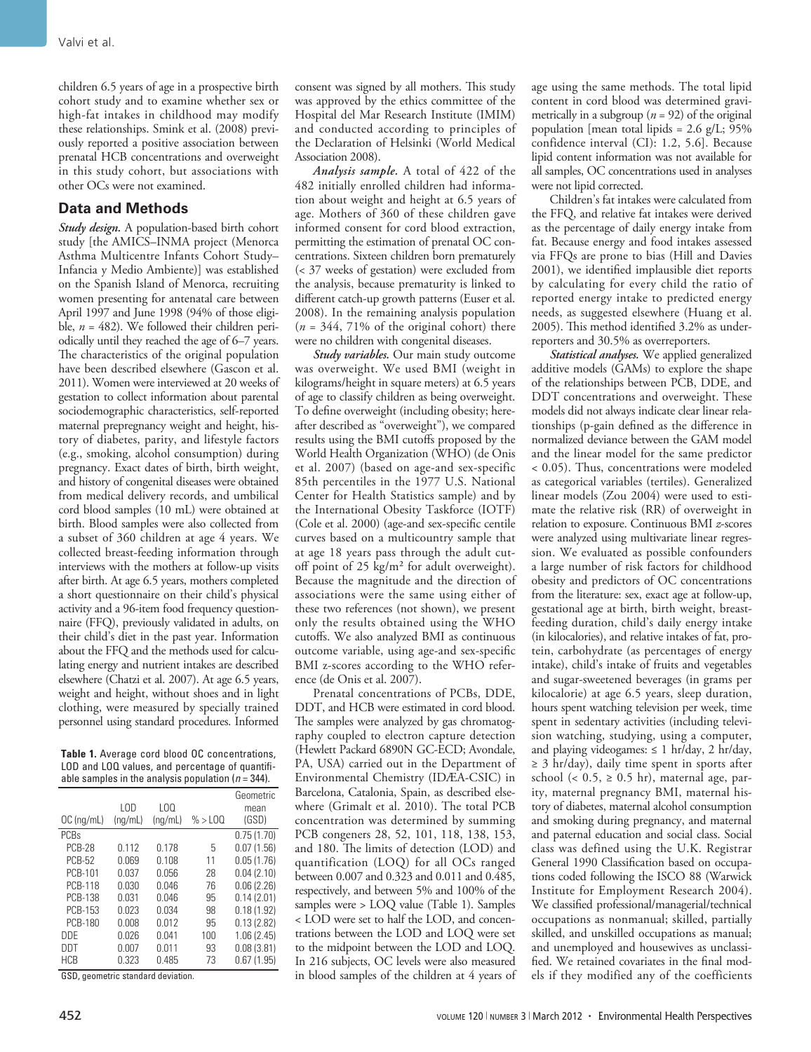children 6.5 years of age in a prospective birth cohort study and to examine whether sex or high-fat intakes in childhood may modify these relationships. Smink et al. (2008) previously reported a positive association between prenatal HCB concentrations and overweight in this study cohort, but associations with other OCs were not examined.

## **Data and Methods**

*Study design.* A population-based birth cohort study [the AMICS–INMA project (Menorca Asthma Multicentre Infants Cohort Study– Infancia y Medio Ambiente)] was established on the Spanish Island of Menorca, recruiting women presenting for antenatal care between April 1997 and June 1998 (94% of those eligible, *n* = 482). We followed their children periodically until they reached the age of 6–7 years. The characteristics of the original population have been described elsewhere (Gascon et al. 2011). Women were interviewed at 20 weeks of gestation to collect information about parental sociodemographic characteristics, self-reported maternal prepregnancy weight and height, history of diabetes, parity, and lifestyle factors (e.g., smoking, alcohol consumption) during pregnancy. Exact dates of birth, birth weight, and history of congenital diseases were obtained from medical delivery records, and umbilical cord blood samples (10 mL) were obtained at birth. Blood samples were also collected from a subset of 360 children at age 4 years. We collected breast-feeding information through interviews with the mothers at follow-up visits after birth. At age 6.5 years, mothers completed a short questionnaire on their child's physical activity and a 96-item food frequency questionnaire (FFQ), previously validated in adults, on their child's diet in the past year. Information about the FFQ and the methods used for calculating energy and nutrient intakes are described elsewhere (Chatzi et al. 2007). At age 6.5 years, weight and height, without shoes and in light clothing, were measured by specially trained personnel using standard procedures. Informed

**Table 1.** Average cord blood OC concentrations, LOD and LOQ values, and percentage of quantifiable samples in the analysis population  $(n = 344)$ .

|                | LOD     | LOO     |         | Geometric<br>mean |
|----------------|---------|---------|---------|-------------------|
| $OC$ (ng/mL)   | (nq/mL) | (nq/mL) | % > LOO | (GSD)             |
| PCBs           |         |         |         | 0.75(1.70)        |
| <b>PCB-28</b>  | 0.112   | 0.178   | 5       | 0.07(1.56)        |
| <b>PCB-52</b>  | 0.069   | 0.108   | 11      | 0.05(1.76)        |
| PCB-101        | 0.037   | 0.056   | 28      | 0.04(2.10)        |
| <b>PCB-118</b> | 0.030   | 0.046   | 76      | 0.06(2.26)        |
| <b>PCB-138</b> | 0.031   | 0.046   | 95      | 0.14(2.01)        |
| PCB-153        | 0.023   | 0.034   | 98      | 0.18(1.92)        |
| PCB-180        | 0.008   | 0.012   | 95      | 0.13(2.82)        |
| <b>DDE</b>     | 0.026   | 0.041   | 100     | 1.06(2.45)        |
| DDT            | 0.007   | 0.011   | 93      | 0.08(3.81)        |
| <b>HCB</b>     | 0.323   | 0.485   | 73      | 0.67(1.95)        |

GSD, geometric standard deviation.

consent was signed by all mothers. This study was approved by the ethics committee of the Hospital del Mar Research Institute (IMIM) and conducted according to principles of the Declaration of Helsinki (World Medical Association 2008).

*Analysis sample.* A total of 422 of the 482 initially enrolled children had information about weight and height at 6.5 years of age. Mothers of 360 of these children gave informed consent for cord blood extraction, permitting the estimation of prenatal OC concentrations. Sixteen children born prematurely (< 37 weeks of gestation) were excluded from the analysis, because prematurity is linked to different catch-up growth patterns (Euser et al. 2008). In the remaining analysis population  $(n = 344, 71\%)$  of the original cohort) there were no children with congenital diseases.

*Study variables.* Our main study outcome was overweight. We used BMI (weight in kilograms/height in square meters) at 6.5 years of age to classify children as being overweight. To define overweight (including obesity; hereafter described as "overweight"), we compared results using the BMI cutoffs proposed by the World Health Organization (WHO) (de Onis et al. 2007) (based on age-and sex-specific 85th percentiles in the 1977 U.S. National Center for Health Statistics sample) and by the International Obesity Taskforce (IOTF) (Cole et al. 2000) (age-and sex-specific centile curves based on a multicountry sample that at age 18 years pass through the adult cutoff point of 25 kg/m² for adult overweight). Because the magnitude and the direction of associations were the same using either of these two references (not shown), we present only the results obtained using the WHO cutoffs. We also analyzed BMI as continuous outcome variable, using age-and sex-specific BMI z-scores according to the WHO reference (de Onis et al. 2007).

Prenatal concentrations of PCBs, DDE, DDT, and HCB were estimated in cord blood. The samples were analyzed by gas chromatography coupled to electron capture detection (Hewlett Packard 6890N GC-ECD; Avondale, PA, USA) carried out in the Department of Environmental Chemistry (IDÆA-CSIC) in Barcelona, Catalonia, Spain, as described elsewhere (Grimalt et al. 2010). The total PCB concentration was determined by summing PCB congeners 28, 52, 101, 118, 138, 153, and 180. The limits of detection (LOD) and quantification (LOQ) for all OCs ranged between 0.007 and 0.323 and 0.011 and 0.485, respectively, and between 5% and 100% of the samples were > LOQ value (Table 1). Samples < LOD were set to half the LOD, and concentrations between the LOD and LOQ were set to the midpoint between the LOD and LOQ. In 216 subjects, OC levels were also measured in blood samples of the children at 4 years of

age using the same methods. The total lipid content in cord blood was determined gravimetrically in a subgroup  $(n = 92)$  of the original population [mean total lipids =  $2.6$  g/L; 95% confidence interval (CI): 1.2, 5.6]. Because lipid content information was not available for all samples, OC concentrations used in analyses were not lipid corrected.

Children's fat intakes were calculated from the FFQ, and relative fat intakes were derived as the percentage of daily energy intake from fat. Because energy and food intakes assessed via FFQs are prone to bias (Hill and Davies 2001), we identified implausible diet reports by calculating for every child the ratio of reported energy intake to predicted energy needs, as suggested elsewhere (Huang et al. 2005). This method identified 3.2% as underreporters and 30.5% as overreporters.

*Statistical analyses.* We applied generalized additive models (GAMs) to explore the shape of the relationships between PCB, DDE, and DDT concentrations and overweight. These models did not always indicate clear linear relationships (p-gain defined as the difference in normalized deviance between the GAM model and the linear model for the same predictor < 0.05). Thus, concentrations were modeled as categorical variables (tertiles). Generalized linear models (Zou 2004) were used to estimate the relative risk (RR) of overweight in relation to exposure. Continuous BMI *z*-scores were analyzed using multivariate linear regression. We evaluated as possible confounders a large number of risk factors for childhood obesity and predictors of OC concentrations from the literature: sex, exact age at follow-up, gestational age at birth, birth weight, breastfeeding duration, child's daily energy intake (in kilocalories), and relative intakes of fat, protein, carbohydrate (as percentages of energy intake), child's intake of fruits and vegetables and sugar-sweetened beverages (in grams per kilocalorie) at age 6.5 years, sleep duration, hours spent watching television per week, time spent in sedentary activities (including television watching, studying, using a computer, and playing videogames:  $\leq 1$  hr/day, 2 hr/day, ≥ 3 hr/day), daily time spent in sports after school (<  $0.5$ ,  $\geq 0.5$  hr), maternal age, parity, maternal pregnancy BMI, maternal history of diabetes, maternal alcohol consumption and smoking during pregnancy, and maternal and paternal education and social class. Social class was defined using the U.K. Registrar General 1990 Classification based on occupations coded following the ISCO 88 (Warwick Institute for Employment Research 2004). We classified professional/managerial/technical occupations as nonmanual; skilled, partially skilled, and unskilled occupations as manual; and unemployed and housewives as unclassified. We retained covariates in the final models if they modified any of the coefficients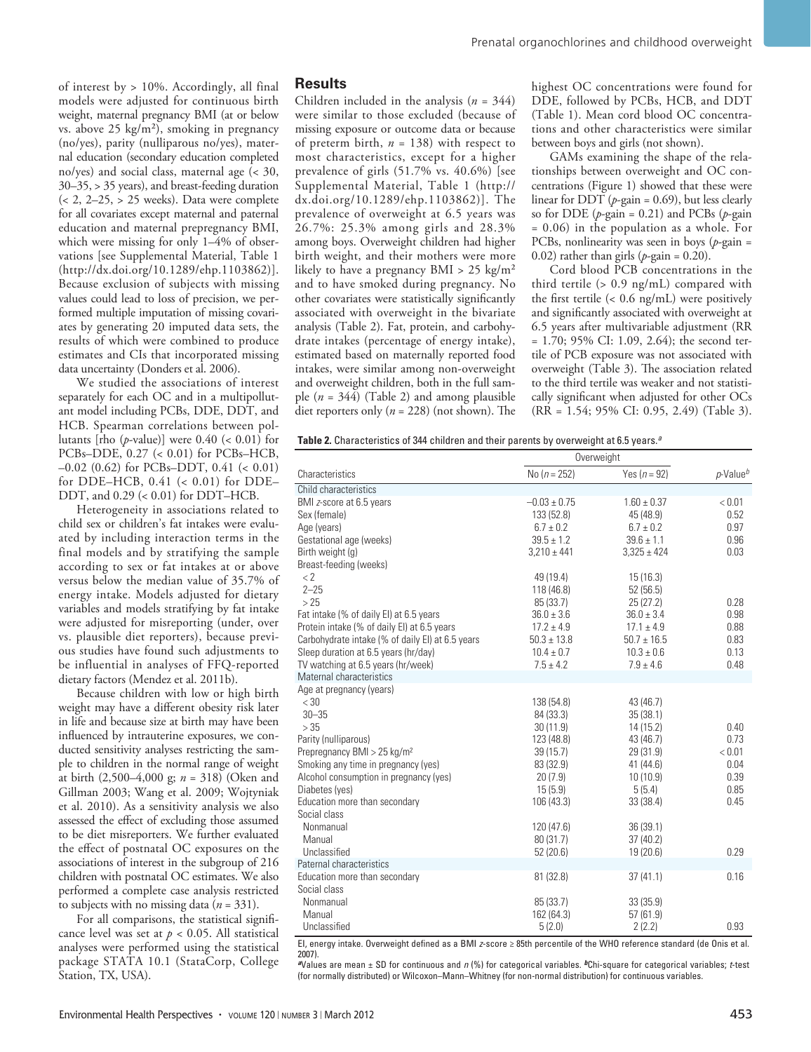of interest by > 10%. Accordingly, all final models were adjusted for continuous birth weight, maternal pregnancy BMI (at or below vs. above 25 kg/m<sup>2</sup>), smoking in pregnancy (no/yes), parity (nulliparous no/yes), maternal education (secondary education completed no/yes) and social class, maternal age (< 30, 30–35, > 35 years), and breast-feeding duration  $\left($  < 2, 2–25, > 25 weeks). Data were complete for all covariates except maternal and paternal education and maternal prepregnancy BMI, which were missing for only 1–4% of observations [see Supplemental Material, Table 1 (http://dx.doi.org/10.1289/ehp.1103862)]. Because exclusion of subjects with missing values could lead to loss of precision, we performed multiple imputation of missing covariates by generating 20 imputed data sets, the results of which were combined to produce estimates and CIs that incorporated missing data uncertainty (Donders et al. 2006).

We studied the associations of interest separately for each OC and in a multipollutant model including PCBs, DDE, DDT, and HCB. Spearman correlations between pollutants [rho  $(p$ -value]] were  $0.40$  (<  $0.01$ ) for PCBs–DDE, 0.27 (< 0.01) for PCBs–HCB, –0.02 (0.62) for PCBs–DDT, 0.41 (< 0.01) for DDE–HCB, 0.41 (< 0.01) for DDE– DDT, and 0.29 (< 0.01) for DDT–HCB.

Heterogeneity in associations related to child sex or children's fat intakes were evaluated by including interaction terms in the final models and by stratifying the sample according to sex or fat intakes at or above versus below the median value of 35.7% of energy intake. Models adjusted for dietary variables and models stratifying by fat intake were adjusted for misreporting (under, over vs. plausible diet reporters), because previous studies have found such adjustments to be influential in analyses of FFQ-reported dietary factors (Mendez et al. 2011b).

Because children with low or high birth weight may have a different obesity risk later in life and because size at birth may have been influenced by intrauterine exposures, we conducted sensitivity analyses restricting the sample to children in the normal range of weight at birth (2,500–4,000 g; *n* = 318) (Oken and Gillman 2003; Wang et al. 2009; Wojtyniak et al. 2010). As a sensitivity analysis we also assessed the effect of excluding those assumed to be diet misreporters. We further evaluated the effect of postnatal OC exposures on the associations of interest in the subgroup of 216 children with postnatal OC estimates. We also performed a complete case analysis restricted to subjects with no missing data (*n* = 331).

For all comparisons, the statistical significance level was set at  $p < 0.05$ . All statistical analyses were performed using the statistical package STATA 10.1 (StataCorp, College Station, TX, USA).

#### **Results**

Children included in the analysis (*n* = 344) were similar to those excluded (because of missing exposure or outcome data or because of preterm birth, *n* = 138) with respect to most characteristics, except for a higher prevalence of girls (51.7% vs. 40.6%) [see Supplemental Material, Table 1 (http:// dx.doi.org/10.1289/ehp.1103862)]. The prevalence of overweight at 6.5 years was 26.7%: 25.3% among girls and 28.3% among boys. Overweight children had higher birth weight, and their mothers were more likely to have a pregnancy  $BMI > 25 \text{ kg/m}^2$ and to have smoked during pregnancy. No other covariates were statistically significantly associated with overweight in the bivariate analysis (Table 2). Fat, protein, and carbohydrate intakes (percentage of energy intake), estimated based on maternally reported food intakes, were similar among non-overweight and overweight children, both in the full sample  $(n = 344)$  (Table 2) and among plausible diet reporters only (*n* = 228) (not shown). The highest OC concentrations were found for DDE, followed by PCBs, HCB, and DDT (Table 1). Mean cord blood OC concentrations and other characteristics were similar between boys and girls (not shown).

GAMs examining the shape of the relationships between overweight and OC concentrations (Figure 1) showed that these were linear for DDT ( $p$ -gain = 0.69), but less clearly so for DDE (*p*-gain = 0.21) and PCBs (*p*-gain = 0.06) in the population as a whole. For PCBs, nonlinearity was seen in boys (*p*-gain = 0.02) rather than girls  $(p$ -gain = 0.20).

Cord blood PCB concentrations in the third tertile (> 0.9 ng/mL) compared with the first tertile (< 0.6 ng/mL) were positively and significantly associated with overweight at 6.5 years after multivariable adjustment (RR = 1.70; 95% CI: 1.09, 2.64); the second tertile of PCB exposure was not associated with overweight (Table 3). The association related to the third tertile was weaker and not statistically significant when adjusted for other OCs (RR = 1.54; 95% CI: 0.95, 2.49) (Table 3).

|                                                  | Overweight       |                 |                                      |  |
|--------------------------------------------------|------------------|-----------------|--------------------------------------|--|
| Characteristics                                  | No ( $n = 252$ ) | Yes $(n = 92)$  | $p$ -Value <sup><math>t</math></sup> |  |
| Child characteristics                            |                  |                 |                                      |  |
| BMI z-score at 6.5 years                         | $-0.03 \pm 0.75$ | $1.60 \pm 0.37$ | < 0.01                               |  |
| Sex (female)                                     | 133 (52.8)       | 45 (48.9)       | 0.52                                 |  |
| Age (years)                                      | $6.7 \pm 0.2$    | $6.7 \pm 0.2$   | 0.97                                 |  |
| Gestational age (weeks)                          | $39.5 \pm 1.2$   | $39.6 \pm 1.1$  | 0.96                                 |  |
| Birth weight (g)                                 | $3,210 \pm 441$  | $3,325 \pm 424$ | 0.03                                 |  |
| Breast-feeding (weeks)                           |                  |                 |                                      |  |
| $\langle$ 2                                      | 49 (19.4)        | 15(16.3)        |                                      |  |
| $2 - 25$                                         | 118 (46.8)       | 52(56.5)        |                                      |  |
| >25                                              | 85 (33.7)        | 25(27.2)        | 0.28                                 |  |
| Fat intake (% of daily EI) at 6.5 years          | $36.0 \pm 3.6$   | $36.0 \pm 3.4$  | 0.98                                 |  |
| Protein intake (% of daily EI) at 6.5 years      | $17.2 \pm 4.9$   | $17.1 \pm 4.9$  | 0.88                                 |  |
| Carbohydrate intake (% of daily EI) at 6.5 years | $50.3 \pm 13.8$  | $50.7 \pm 16.5$ | 0.83                                 |  |
| Sleep duration at 6.5 years (hr/day)             | $10.4 \pm 0.7$   | $10.3 \pm 0.6$  | 0.13                                 |  |
| TV watching at 6.5 years (hr/week)               | $7.5 \pm 4.2$    | $7.9 \pm 4.6$   | 0.48                                 |  |
| Maternal characteristics                         |                  |                 |                                      |  |
| Age at pregnancy (years)                         |                  |                 |                                      |  |
| $<$ 30                                           | 138 (54.8)       | 43 (46.7)       |                                      |  |
| $30 - 35$                                        | 84 (33.3)        | 35(38.1)        |                                      |  |
| >35                                              | 30(11.9)         | 14(15.2)        | 0.40                                 |  |
| Parity (nulliparous)                             | 123 (48.8)       | 43 (46.7)       | 0.73                                 |  |
| Prepregnancy BMI > 25 kg/m <sup>2</sup>          | 39(15.7)         | 29 (31.9)       | < 0.01                               |  |
| Smoking any time in pregnancy (yes)              | 83 (32.9)        | 41 (44.6)       | 0.04                                 |  |
| Alcohol consumption in pregnancy (yes)           | 20(7.9)          | 10(10.9)        | 0.39                                 |  |
| Diabetes (yes)                                   | 15(5.9)          | 5(5.4)          | 0.85                                 |  |
| Education more than secondary                    | 106(43.3)        | 33(38.4)        | 0.45                                 |  |
| Social class                                     |                  |                 |                                      |  |
| Nonmanual                                        | 120 (47.6)       | 36(39.1)        |                                      |  |
| Manual                                           | 80(31.7)         | 37(40.2)        |                                      |  |
| Unclassified                                     | 52 (20.6)        | 19 (20.6)       | 0.29                                 |  |
| Paternal characteristics                         |                  |                 |                                      |  |
| Education more than secondary                    | 81 (32.8)        | 37(41.1)        | 0.16                                 |  |
| Social class                                     |                  |                 |                                      |  |
| Nonmanual                                        | 85 (33.7)        | 33(35.9)        |                                      |  |
| Manual                                           | 162 (64.3)       | 57(61.9)        |                                      |  |
| Unclassified                                     | 5(2.0)           | 2(2.2)          | 0.93                                 |  |

EI, energy intake. Overweight defined as a BMI *z*-score ≥ 85th percentile of the WHO reference standard (de Onis et al. 2007).

*<sup>a</sup>*Values are mean ± SD for continuous and *n* (%) for categorical variables. *b*Chi-square for categorical variables; *t*-test (for normally distributed) or Wilcoxon–Mann–Whitney (for non-normal distribution) for continuous variables.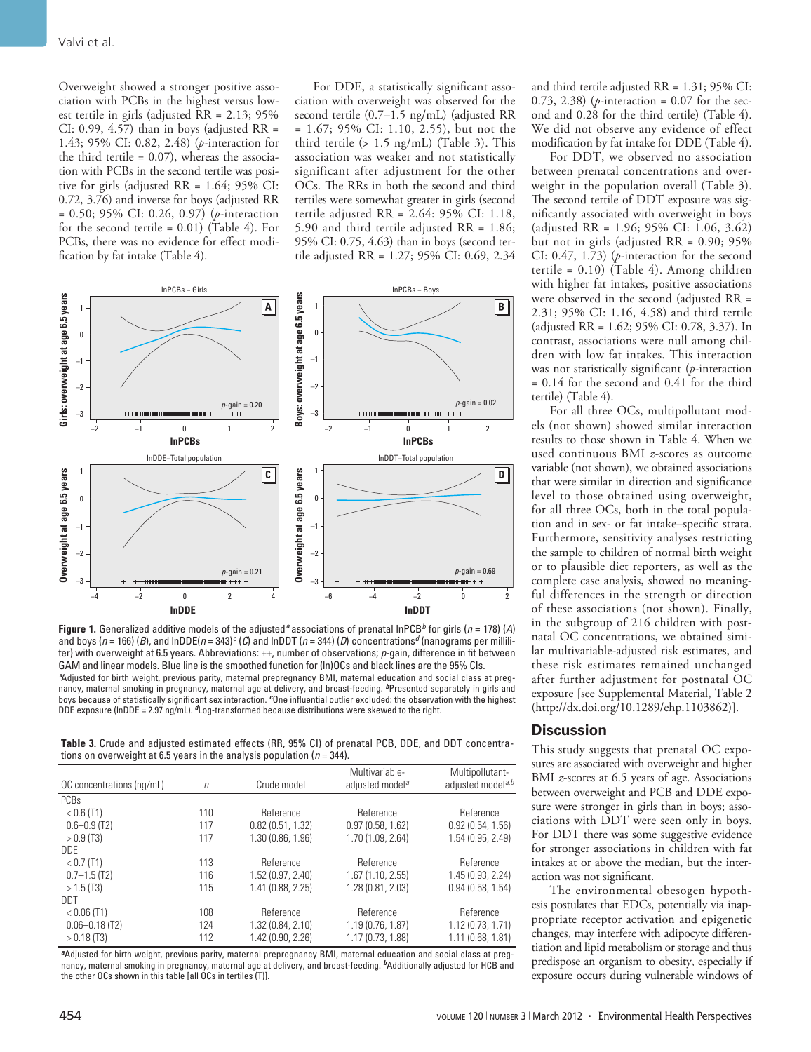Overweight showed a stronger positive association with PCBs in the highest versus lowest tertile in girls (adjusted RR = 2.13; 95% CI: 0.99, 4.57) than in boys (adjusted  $RR =$ 1.43; 95% CI: 0.82, 2.48) (*p*-interaction for the third tertile  $= 0.07$ ), whereas the association with PCBs in the second tertile was positive for girls (adjusted RR = 1.64; 95% CI: 0.72, 3.76) and inverse for boys (adjusted RR = 0.50; 95% CI: 0.26, 0.97) (*p*-interaction for the second tertile =  $0.01$ ) (Table 4). For PCBs, there was no evidence for effect modification by fat intake (Table 4).

For DDE, a statistically significant association with overweight was observed for the second tertile (0.7–1.5 ng/mL) (adjusted RR = 1.67; 95% CI: 1.10, 2.55), but not the third tertile (> 1.5 ng/mL) (Table 3). This association was weaker and not statistically significant after adjustment for the other OCs. The RRs in both the second and third tertiles were somewhat greater in girls (second tertile adjusted RR = 2.64: 95% CI: 1.18, 5.90 and third tertile adjusted RR = 1.86; 95% CI: 0.75, 4.63) than in boys (second tertile adjusted RR = 1.27; 95% CI: 0.69, 2.34



**Figure 1.** Generalized additive models of the adjusted*ª* associations of prenatal lnPCB*b* for girls (*n* = 178) (*A*) and boys (*n* = 166) (*B*), and lnDDE(*n* = 343)*c* (*C*) and lnDDT (*n* = 344) (*D*) concentrations*d* (nanograms per milliliter) with overweight at 6.5 years. Abbreviations: ++, number of observations; *p*-gain, difference in fit between GAM and linear models. Blue line is the smoothed function for (ln)OCs and black lines are the 95% CIs. *ª*Adjusted for birth weight, previous parity, maternal prepregnancy BMI, maternal education and social class at pregnancy, maternal smoking in pregnancy, maternal age at delivery, and breast-feeding. *b*Presented separately in girls and boys because of statistically significant sex interaction. *c*One influential outlier excluded: the observation with the highest DDE exposure (lnDDE = 2.97 ng/mL). *d*Log-transformed because distributions were skewed to the right.

**Table 3.** Crude and adjusted estimated effects (RR, 95% CI) of prenatal PCB, DDE, and DDT concentrations on overweight at 6.5 years in the analysis population (*n* = 344).

| OC concentrations (ng/mL) | $\eta$ | Crude model         | Multivariable-<br>adjusted model <sup>a</sup> | Multipollutant-<br>adjusted model <sup>a,b</sup> |
|---------------------------|--------|---------------------|-----------------------------------------------|--------------------------------------------------|
| <b>PCBs</b>               |        |                     |                                               |                                                  |
| $< 0.6$ (T1)              | 110    | Reference           | Reference                                     | Reference                                        |
| $0.6 - 0.9$ (T2)          | 117    | $0.82$ (0.51, 1.32) | 0.97(0.58, 1.62)                              | 0.92(0.54, 1.56)                                 |
| $>0.9$ (T3)               | 117    | 1.30(0.86, 1.96)    | 1.70 (1.09, 2.64)                             | 1.54 (0.95, 2.49)                                |
| <b>DDE</b>                |        |                     |                                               |                                                  |
| $<$ 0.7 (T1)              | 113    | Reference           | Reference                                     | Reference                                        |
| $0.7 - 1.5$ (T2)          | 116    | 1.52 (0.97, 2.40)   | 1.67(1.10, 2.55)                              | 1.45 (0.93, 2.24)                                |
| $>1.5$ (T3)               | 115    | 1.41 (0.88, 2.25)   | 1.28 (0.81, 2.03)                             | 0.94(0.58, 1.54)                                 |
| DDT                       |        |                     |                                               |                                                  |
| $< 0.06$ (T1)             | 108    | Reference           | Reference                                     | Reference                                        |
| $0.06 - 0.18$ (T2)        | 124    | 1.32 (0.84, 2.10)   | 1.19(0.76, 1.87)                              | 1.12(0.73, 1.71)                                 |
| $> 0.18$ (T3)             | 112    | 1.42 (0.90, 2.26)   | 1.17 (0.73, 1.88)                             | 1.11 (0.68, 1.81)                                |

*<sup>a</sup>*Adjusted for birth weight, previous parity, maternal prepregnancy BMI, maternal education and social class at pregnancy, maternal smoking in pregnancy, maternal age at delivery, and breast-feeding. *b*Additionally adjusted for HCB and the other OCs shown in this table [all OCs in tertiles (T)].

and third tertile adjusted RR = 1.31; 95% CI: 0.73, 2.38) (*p*-interaction = 0.07 for the second and 0.28 for the third tertile) (Table 4). We did not observe any evidence of effect modification by fat intake for DDE (Table 4).

For DDT, we observed no association between prenatal concentrations and overweight in the population overall (Table 3). The second tertile of DDT exposure was significantly associated with overweight in boys (adjusted RR = 1.96; 95% CI: 1.06, 3.62) but not in girls (adjusted RR = 0.90; 95% CI: 0.47, 1.73) (*p*-interaction for the second tertile = 0.10) (Table 4). Among children with higher fat intakes, positive associations were observed in the second (adjusted RR = 2.31; 95% CI: 1.16, 4.58) and third tertile (adjusted RR = 1.62; 95% CI: 0.78, 3.37). In contrast, associations were null among children with low fat intakes. This interaction was not statistically significant (*p*-interaction = 0.14 for the second and 0.41 for the third tertile) (Table 4).

For all three OCs, multipollutant models (not shown) showed similar interaction results to those shown in Table 4. When we used continuous BMI *z*-scores as outcome variable (not shown), we obtained associations that were similar in direction and significance level to those obtained using overweight, for all three OCs, both in the total population and in sex- or fat intake–specific strata. Furthermore, sensitivity analyses restricting the sample to children of normal birth weight or to plausible diet reporters, as well as the complete case analysis, showed no meaningful differences in the strength or direction of these associations (not shown). Finally, in the subgroup of 216 children with postnatal OC concentrations, we obtained similar multivariable-adjusted risk estimates, and these risk estimates remained unchanged after further adjustment for postnatal OC exposure [see Supplemental Material, Table 2 (http://dx.doi.org/10.1289/ehp.1103862)].

### **Discussion**

This study suggests that prenatal OC exposures are associated with overweight and higher BMI *z*-scores at 6.5 years of age. Associations between overweight and PCB and DDE exposure were stronger in girls than in boys; associations with DDT were seen only in boys. For DDT there was some suggestive evidence for stronger associations in children with fat intakes at or above the median, but the interaction was not significant.

The environmental obesogen hypothesis postulates that EDCs, potentially via inappropriate receptor activation and epigenetic changes, may interfere with adipocyte differentiation and lipid metabolism or storage and thus predispose an organism to obesity, especially if exposure occurs during vulnerable windows of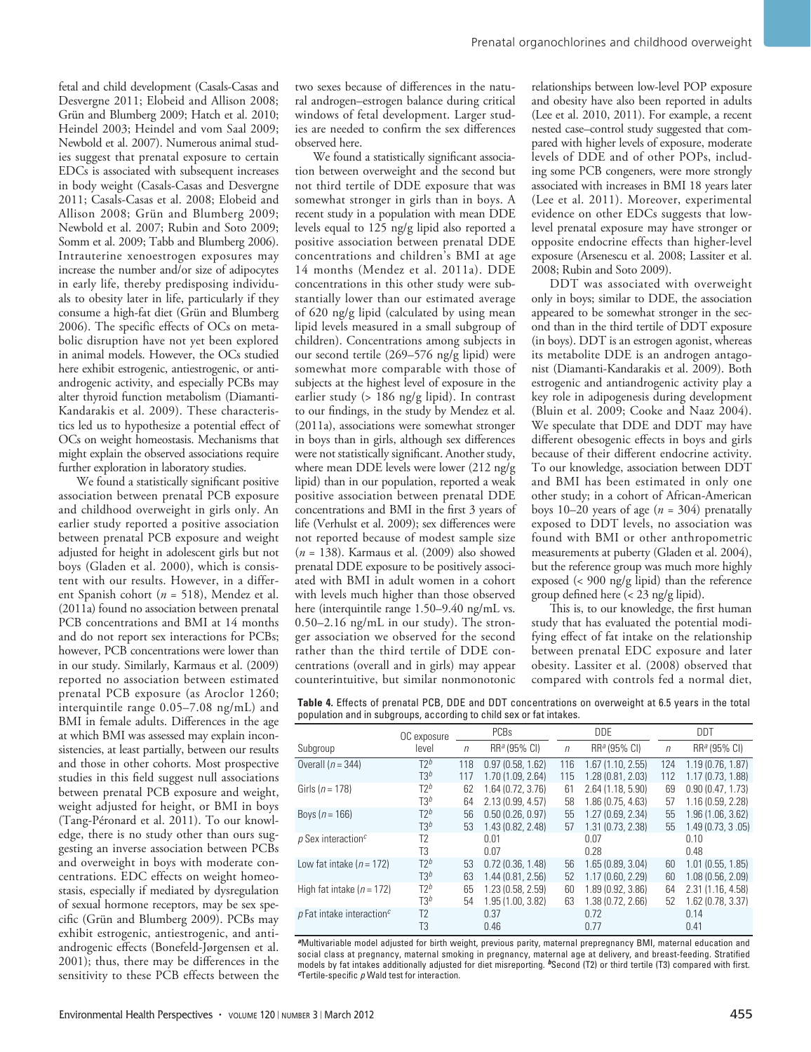fetal and child development (Casals-Casas and Desvergne 2011; Elobeid and Allison 2008; Grün and Blumberg 2009; Hatch et al. 2010; Heindel 2003; Heindel and vom Saal 2009; Newbold et al. 2007). Numerous animal studies suggest that prenatal exposure to certain EDCs is associated with subsequent increases in body weight (Casals-Casas and Desvergne 2011; Casals-Casas et al. 2008; Elobeid and Allison 2008; Grün and Blumberg 2009; Newbold et al. 2007; Rubin and Soto 2009; Somm et al. 2009; Tabb and Blumberg 2006). Intrauterine xenoestrogen exposures may increase the number and/or size of adipocytes in early life, thereby predisposing individuals to obesity later in life, particularly if they consume a high-fat diet (Grün and Blumberg 2006). The specific effects of OCs on metabolic disruption have not yet been explored in animal models. However, the OCs studied here exhibit estrogenic, antiestrogenic, or antiandrogenic activity, and especially PCBs may alter thyroid function metabolism (Diamanti-Kandarakis et al. 2009). These characteristics led us to hypothesize a potential effect of OCs on weight homeostasis. Mechanisms that might explain the observed associations require further exploration in laboratory studies.

We found a statistically significant positive association between prenatal PCB exposure and childhood overweight in girls only. An earlier study reported a positive association between prenatal PCB exposure and weight adjusted for height in adolescent girls but not boys (Gladen et al. 2000), which is consistent with our results. However, in a different Spanish cohort (*n* = 518), Mendez et al. (2011a) found no association between prenatal PCB concentrations and BMI at 14 months and do not report sex interactions for PCBs; however, PCB concentrations were lower than in our study. Similarly, Karmaus et al. (2009) reported no association between estimated prenatal PCB exposure (as Aroclor 1260; interquintile range 0.05–7.08 ng/mL) and BMI in female adults. Differences in the age at which BMI was assessed may explain inconsistencies, at least partially, between our results and those in other cohorts. Most prospective studies in this field suggest null associations between prenatal PCB exposure and weight, weight adjusted for height, or BMI in boys (Tang-Péronard et al. 2011). To our knowledge, there is no study other than ours suggesting an inverse association between PCBs and overweight in boys with moderate concentrations. EDC effects on weight homeostasis, especially if mediated by dysregulation of sexual hormone receptors, may be sex specific (Grün and Blumberg 2009). PCBs may exhibit estrogenic, antiestrogenic, and antiandrogenic effects (Bonefeld-Jørgensen et al. 2001); thus, there may be differences in the sensitivity to these PCB effects between the

two sexes because of differences in the natural androgen–estrogen balance during critical windows of fetal development. Larger studies are needed to confirm the sex differences observed here.

We found a statistically significant association between overweight and the second but not third tertile of DDE exposure that was somewhat stronger in girls than in boys. A recent study in a population with mean DDE levels equal to 125 ng/g lipid also reported a positive association between prenatal DDE concentrations and children's BMI at age 14 months (Mendez et al. 2011a). DDE concentrations in this other study were substantially lower than our estimated average of 620 ng/g lipid (calculated by using mean lipid levels measured in a small subgroup of children). Concentrations among subjects in our second tertile (269–576 ng/g lipid) were somewhat more comparable with those of subjects at the highest level of exposure in the earlier study (> 186 ng/g lipid). In contrast to our findings, in the study by Mendez et al. (2011a), associations were somewhat stronger in boys than in girls, although sex differences were not statistically significant. Another study, where mean DDE levels were lower (212 ng/g lipid) than in our population, reported a weak positive association between prenatal DDE concentrations and BMI in the first 3 years of life (Verhulst et al. 2009); sex differences were not reported because of modest sample size (*n* = 138). Karmaus et al. (2009) also showed prenatal DDE exposure to be positively associated with BMI in adult women in a cohort with levels much higher than those observed here (interquintile range 1.50–9.40 ng/mL vs. 0.50–2.16 ng/mL in our study). The stronger association we observed for the second rather than the third tertile of DDE concentrations (overall and in girls) may appear counterintuitive, but similar nonmonotonic

relationships between low-level POP exposure and obesity have also been reported in adults (Lee et al. 2010, 2011). For example, a recent nested case–control study suggested that compared with higher levels of exposure, moderate levels of DDE and of other POPs, including some PCB congeners, were more strongly associated with increases in BMI 18 years later (Lee et al. 2011). Moreover, experimental evidence on other EDCs suggests that lowlevel prenatal exposure may have stronger or opposite endocrine effects than higher-level exposure (Arsenescu et al. 2008; Lassiter et al. 2008; Rubin and Soto 2009).

DDT was associated with overweight only in boys; similar to DDE, the association appeared to be somewhat stronger in the second than in the third tertile of DDT exposure (in boys). DDT is an estrogen agonist, whereas its metabolite DDE is an androgen antagonist (Diamanti-Kandarakis et al. 2009). Both estrogenic and antiandrogenic activity play a key role in adipogenesis during development (Bluin et al. 2009; Cooke and Naaz 2004). We speculate that DDE and DDT may have different obesogenic effects in boys and girls because of their different endocrine activity. To our knowledge, association between DDT and BMI has been estimated in only one other study; in a cohort of African-American boys 10–20 years of age  $(n = 304)$  prenatally exposed to DDT levels, no association was found with BMI or other anthropometric measurements at puberty (Gladen et al. 2004), but the reference group was much more highly exposed (< 900 ng/g lipid) than the reference group defined here  $\left($  < 23 ng/g lipid).

This is, to our knowledge, the first human study that has evaluated the potential modifying effect of fat intake on the relationship between prenatal EDC exposure and later obesity. Lassiter et al. (2008) observed that compared with controls fed a normal diet,

|  |  | Table 4. Effects of prenatal PCB, DDE and DDT concentrations on overweight at 6.5 years in the total |  |  |
|--|--|------------------------------------------------------------------------------------------------------|--|--|
|  |  | population and in subgroups, according to child sex or fat intakes.                                  |  |  |

|                                 | OC exposure    | PCBs       |                          |        | <b>DDE</b>               |            | DDT                      |  |
|---------------------------------|----------------|------------|--------------------------|--------|--------------------------|------------|--------------------------|--|
| Subgroup                        | level          | $\sqrt{n}$ | RR <sup>a</sup> (95% CI) | $\eta$ | RR <sup>a</sup> (95% CI) | $\sqrt{n}$ | RR <sup>a</sup> (95% CI) |  |
| Overall $(n = 344)$             | $T2^b$         | 118        | 0.97(0.58, 1.62)         | 116    | 1.67(1.10, 2.55)         | 124        | 1.19(0.76, 1.87)         |  |
|                                 | $T3^b$         | 117        | 1.70 (1.09, 2.64)        | 115    | 1.28 (0.81, 2.03)        | 112        | 1.17 (0.73, 1.88)        |  |
| Girls ( $n = 178$ )             | $T2^b$         | 62         | 1.64(0.72, 3.76)         | 61     | 2.64 (1.18, 5.90)        | 69         | 0.90(0.47, 1.73)         |  |
|                                 | $T3^b$         | 64         | 2.13 (0.99, 4.57)        | 58     | 1.86 (0.75, 4.63)        | 57         | 1.16(0.59, 2.28)         |  |
| Boys $(n = 166)$                | $T2^b$         | 56         | 0.50(0.26, 0.97)         | 55     | 1.27 (0.69, 2.34)        | 55         | 1.96 (1.06, 3.62)        |  |
|                                 | $T3^b$         | 53         | 1.43 (0.82, 2.48)        | 57     | $1.31$ (0.73, 2.38)      | 55         | 1.49(0.73, 3.05)         |  |
| $\rho$ Sex interaction $^c$     | T <sub>2</sub> |            | 0.01                     |        | 0.07                     |            | 0.10                     |  |
|                                 | T3             |            | 0.07                     |        | 0.28                     |            | 0.48                     |  |
| Low fat intake ( $n = 172$ )    | $T2^b$         | 53         | 0.72(0.36, 1.48)         | 56     | 1.65 (0.89, 3.04)        | 60         | $1.01$ $(0.55, 1.85)$    |  |
|                                 | $T3^b$         | 63         | 1.44 (0.81, 2.56)        | 52     | 1.17 (0.60, 2.29)        | 60         | 1.08 (0.56, 2.09)        |  |
| High fat intake ( $n = 172$ )   | $T2^b$         | 65         | 1.23 (0.58, 2.59)        | 60     | 1.89 (0.92, 3.86)        | 64         | 2.31(1.16, 4.58)         |  |
|                                 | $T3^b$         | 54         | 1.95 (1.00, 3.82)        | 63     | 1.38 (0.72, 2.66)        | 52         | $1.62$ (0.78, 3.37)      |  |
| $p$ Fat intake interaction $^c$ | T <sub>2</sub> |            | 0.37                     |        | 0.72                     |            | 0.14                     |  |
|                                 | T3             |            | 0.46                     |        | 0.77                     |            | 0.41                     |  |
|                                 |                |            |                          |        |                          |            |                          |  |

*<sup>a</sup>*Multivariable model adjusted for birth weight, previous parity, maternal prepregnancy BMI, maternal education and social class at pregnancy, maternal smoking in pregnancy, maternal age at delivery, and breast-feeding. Stratified models by fat intakes additionally adjusted for diet misreporting. *b*Second (T2) or third tertile (T3) compared with first. *<sup>c</sup>*Tertile-specific *p* Wald test for interaction.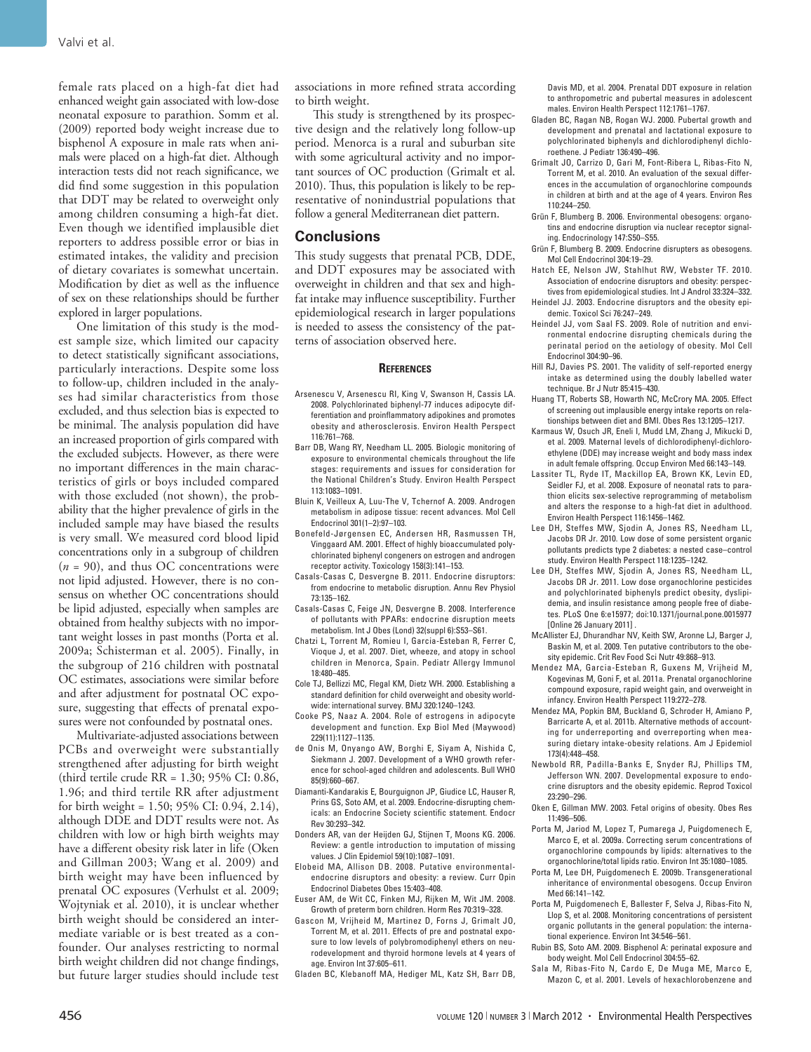female rats placed on a high-fat diet had enhanced weight gain associated with low-dose neonatal exposure to parathion. Somm et al. (2009) reported body weight increase due to bisphenol A exposure in male rats when animals were placed on a high-fat diet. Although interaction tests did not reach significance, we did find some suggestion in this population that DDT may be related to overweight only among children consuming a high-fat diet. Even though we identified implausible diet reporters to address possible error or bias in estimated intakes, the validity and precision of dietary covariates is somewhat uncertain. Modification by diet as well as the influence of sex on these relationships should be further explored in larger populations.

One limitation of this study is the modest sample size, which limited our capacity to detect statistically significant associations, particularly interactions. Despite some loss to follow-up, children included in the analyses had similar characteristics from those excluded, and thus selection bias is expected to be minimal. The analysis population did have an increased proportion of girls compared with the excluded subjects. However, as there were no important differences in the main characteristics of girls or boys included compared with those excluded (not shown), the probability that the higher prevalence of girls in the included sample may have biased the results is very small. We measured cord blood lipid concentrations only in a subgroup of children (*n* = 90), and thus OC concentrations were not lipid adjusted. However, there is no consensus on whether OC concentrations should be lipid adjusted, especially when samples are obtained from healthy subjects with no important weight losses in past months (Porta et al. 2009a; Schisterman et al. 2005). Finally, in the subgroup of 216 children with postnatal OC estimates, associations were similar before and after adjustment for postnatal OC exposure, suggesting that effects of prenatal exposures were not confounded by postnatal ones.

Multivariate-adjusted associations between PCBs and overweight were substantially strengthened after adjusting for birth weight (third tertile crude RR = 1.30; 95% CI: 0.86, 1.96; and third tertile RR after adjustment for birth weight = 1.50; 95% CI: 0.94, 2.14), although DDE and DDT results were not. As children with low or high birth weights may have a different obesity risk later in life (Oken and Gillman 2003; Wang et al. 2009) and birth weight may have been influenced by prenatal OC exposures (Verhulst et al. 2009; Wojtyniak et al. 2010), it is unclear whether birth weight should be considered an intermediate variable or is best treated as a confounder. Our analyses restricting to normal birth weight children did not change findings, but future larger studies should include test

associations in more refined strata according to birth weight.

This study is strengthened by its prospective design and the relatively long follow-up period. Menorca is a rural and suburban site with some agricultural activity and no important sources of OC production (Grimalt et al. 2010). Thus, this population is likely to be representative of nonindustrial populations that follow a general Mediterranean diet pattern.

### **Conclusions**

This study suggests that prenatal PCB, DDE, and DDT exposures may be associated with overweight in children and that sex and highfat intake may influence susceptibility. Further epidemiological research in larger populations is needed to assess the consistency of the patterns of association observed here.

#### **References**

- Arsenescu V, Arsenescu RI, King V, Swanson H, Cassis LA. 2008. Polychlorinated biphenyl-77 induces adipocyte differentiation and proinflammatory adipokines and promotes obesity and atherosclerosis. Environ Health Perspect 116:761–768.
- Barr DB, Wang RY, Needham LL. 2005. Biologic monitoring of exposure to environmental chemicals throughout the life stages: requirements and issues for consideration for the National Children's Study. Environ Health Perspect 113:1083–1091.
- Bluin K, Veilleux A, Luu-The V, Tchernof A. 2009. Androgen metabolism in adipose tissue: recent advances. Mol Cell Endocrinol 301(1–2):97–103.
- Bonefeld-Jørgensen EC, Andersen HR, Rasmussen TH, Vinggaard AM. 2001. Effect of highly bioaccumulated polychlorinated biphenyl congeners on estrogen and androgen receptor activity. Toxicology 158(3):141–153.
- Casals-Casas C, Desvergne B. 2011. Endocrine disruptors: from endocrine to metabolic disruption. Annu Rev Physiol 73:135–162.
- Casals-Casas C, Feige JN, Desvergne B. 2008. Interference of pollutants with PPARs: endocrine disruption meets metabolism. Int J Obes (Lond) 32(suppl 6):S53–S61.
- Chatzi L, Torrent M, Romieu I, Garcia-Esteban R, Ferrer C, Vioque J, et al. 2007. Diet, wheeze, and atopy in school children in Menorca, Spain. Pediatr Allergy Immunol 18:480–485.
- Cole TJ, Bellizzi MC, Flegal KM, Dietz WH. 2000. Establishing a standard definition for child overweight and obesity worldwide: international survey. BMJ 320:1240–1243.
- Cooke PS, Naaz A. 2004. Role of estrogens in adipocyte development and function. Exp Biol Med (Maywood) 229(11):1127–1135.
- de Onis M, Onyango AW, Borghi E, Siyam A, Nishida C, Siekmann J. 2007. Development of a WHO growth reference for school-aged children and adolescents. Bull WHO 85(9):660–667.
- Diamanti-Kandarakis E, Bourguignon JP, Giudice LC, Hauser R, Prins GS, Soto AM, et al. 2009. Endocrine-disrupting chemicals: an Endocrine Society scientific statement. Endocr Rev 30:293–342.
- Donders AR, van der Heijden GJ, Stijnen T, Moons KG. 2006. Review: a gentle introduction to imputation of missing values. J Clin Epidemiol 59(10):1087–1091.
- Elobeid MA, Allison DB. 2008. Putative environmentalendocrine disruptors and obesity: a review. Curr Opin Endocrinol Diabetes Obes 15:403–408.
- Euser AM, de Wit CC, Finken MJ, Rijken M, Wit JM. 2008. Growth of preterm born children. Horm Res 70:319–328.
- Gascon M, Vrijheid M, Martinez D, Forns J, Grimalt JO, Torrent M, et al. 2011. Effects of pre and postnatal exposure to low levels of polybromodiphenyl ethers on neurodevelopment and thyroid hormone levels at 4 years of age. Environ Int 37:605–611.

Gladen BC, Klebanoff MA, Hediger ML, Katz SH, Barr DB,

Davis MD, et al. 2004. Prenatal DDT exposure in relation to anthropometric and pubertal measures in adolescent males. Environ Health Perspect 112:1761–1767.

- Gladen BC, Ragan NB, Rogan WJ. 2000. Pubertal growth and development and prenatal and lactational exposure to polychlorinated biphenyls and dichlorodiphenyl dichloroethene. J Pediatr 136:490–496.
- Grimalt JO, Carrizo D, Gari M, Font-Ribera L, Ribas-Fito N, Torrent M, et al. 2010. An evaluation of the sexual differences in the accumulation of organochlorine compounds in children at birth and at the age of 4 years. Environ Res 110:244–250.
- Grün F, Blumberg B. 2006. Environmental obesogens: organotins and endocrine disruption via nuclear receptor signaling. Endocrinology 147:S50–S55.
- Grün F, Blumberg B. 2009. Endocrine disrupters as obesogens. Mol Cell Endocrinol 304:19–29.
- Hatch EE, Nelson JW, Stahlhut RW, Webster TF. 2010. Association of endocrine disruptors and obesity: perspectives from epidemiological studies. Int J Androl 33:324–332.
- Heindel JJ. 2003. Endocrine disruptors and the obesity epidemic. Toxicol Sci 76:247–249.
- Heindel JJ, vom Saal FS. 2009. Role of nutrition and environmental endocrine disrupting chemicals during the perinatal period on the aetiology of obesity. Mol Cell Endocrinol 304:90–96.
- Hill RJ, Davies PS. 2001. The validity of self-reported energy intake as determined using the doubly labelled water technique. Br J Nutr 85:415–430.
- Huang TT, Roberts SB, Howarth NC, McCrory MA. 2005. Effect of screening out implausible energy intake reports on relationships between diet and BMI. Obes Res 13:1205–1217.
- Karmaus W, Osuch JR, Eneli I, Mudd LM, Zhang J, Mikucki D, et al. 2009. Maternal levels of dichlorodiphenyl-dichloroethylene (DDE) may increase weight and body mass index in adult female offspring. Occup Environ Med 66:143–149.
- Lassiter TL, Ryde IT, Mackillop EA, Brown KK, Levin ED, Seidler FJ, et al. 2008. Exposure of neonatal rats to parathion elicits sex-selective reprogramming of metabolism and alters the response to a high-fat diet in adulthood. Environ Health Perspect 116:1456–1462.
- Lee DH, Steffes MW, Sjodin A, Jones RS, Needham LL, Jacobs DR Jr. 2010. Low dose of some persistent organic pollutants predicts type 2 diabetes: a nested case–control study. Environ Health Perspect 118:1235–1242.
- Lee DH, Steffes MW, Sjodin A, Jones RS, Needham LL, Jacobs DR Jr. 2011. Low dose organochlorine pesticides and polychlorinated biphenyls predict obesity, dyslipidemia, and insulin resistance among people free of diabetes. PLoS One 6:e15977; doi:10.1371/journal.pone.0015977 [Online 26 January 2011] .
- McAllister EJ, Dhurandhar NV, Keith SW, Aronne LJ, Barger J, Baskin M, et al. 2009. Ten putative contributors to the obesity epidemic. Crit Rev Food Sci Nutr 49:868–913.
- Mendez MA, Garcia-Esteban R, Guxens M, Vrijheid M, Kogevinas M, Goni F, et al. 2011a. Prenatal organochlorine compound exposure, rapid weight gain, and overweight in infancy. Environ Health Perspect 119:272–278.
- Mendez MA, Popkin BM, Buckland G, Schroder H, Amiano P, Barricarte A, et al. 2011b. Alternative methods of accounting for underreporting and overreporting when measuring dietary intake-obesity relations. Am J Epidemiol 173(4):448–458.
- Newbold RR, Padilla-Banks E, Snyder RJ, Phillips TM, Jefferson WN. 2007. Developmental exposure to endocrine disruptors and the obesity epidemic. Reprod Toxicol 23:290–296.
- Oken E, Gillman MW. 2003. Fetal origins of obesity. Obes Res 11:496–506.
- Porta M, Jariod M, Lopez T, Pumarega J, Puigdomenech E, Marco E, et al. 2009a. Correcting serum concentrations of organochlorine compounds by lipids: alternatives to the organochlorine/total lipids ratio. Environ Int 35:1080–1085.
- Porta M, Lee DH, Puigdomenech E. 2009b. Transgenerational inheritance of environmental obesogens. Occup Environ Med 66:141–142.
- Porta M, Puigdomenech E, Ballester F, Selva J, Ribas-Fito N, Llop S, et al. 2008. Monitoring concentrations of persistent organic pollutants in the general population: the international experience. Environ Int 34:546–561.
- Rubin BS, Soto AM. 2009. Bisphenol A: perinatal exposure and body weight. Mol Cell Endocrinol 304:55–62.
- Sala M, Ribas-Fito N, Cardo E, De Muga ME, Marco E, Mazon C, et al. 2001. Levels of hexachlorobenzene and